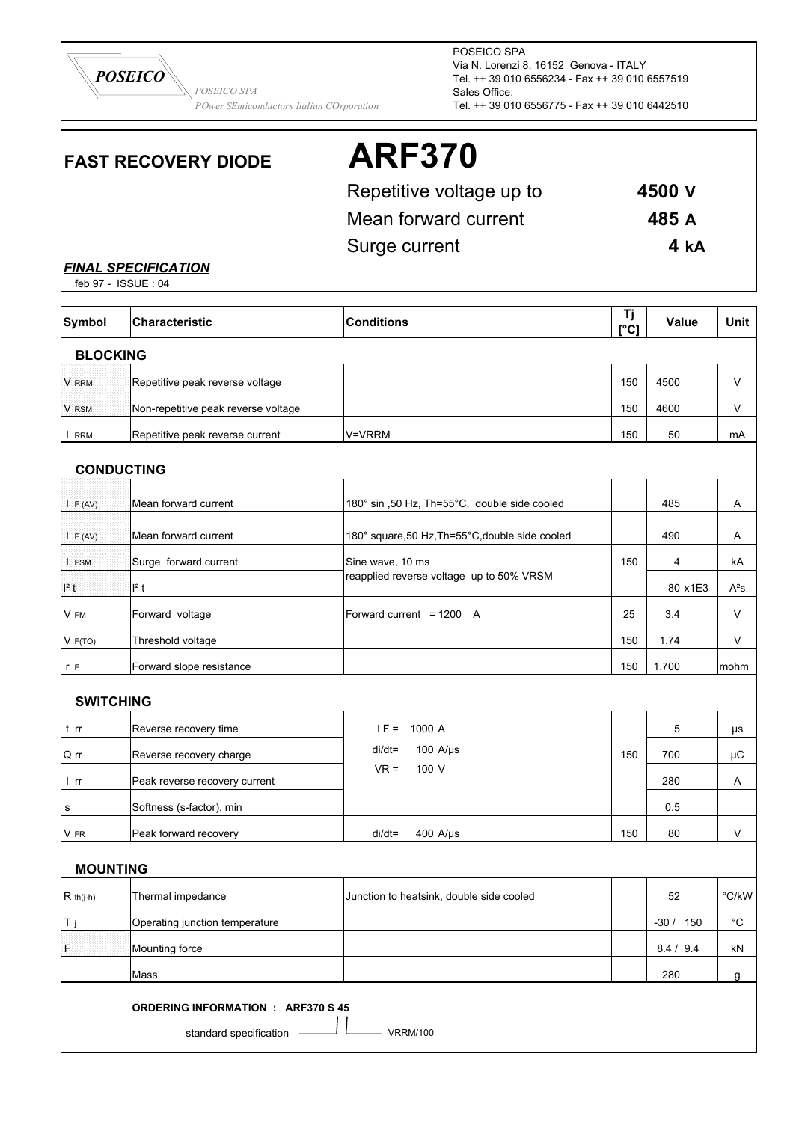

POSEICO SPA Via N. Lorenzi 8, 16152 Genova - ITALY Tel. ++ 39 010 6556234 - Fax ++ 39 010 6557519 Sales Office: Tel. ++ 39 010 6556775 - Fax ++ 39 010 6442510

## **FAST RECOVERY DIODE ARF370**

Repetitive voltage up to **4500 V** Mean forward current **485 A** Surge current **4 kA**

*FINAL SPECIFICATION*

feb 97 - ISSUE : 04

| <b>Symbol</b>     | Characteristic                            | <b>Conditions</b>                               | Tj<br>[°C] | Value     | Unit              |
|-------------------|-------------------------------------------|-------------------------------------------------|------------|-----------|-------------------|
| <b>BLOCKING</b>   |                                           |                                                 |            |           |                   |
| V RRM             | Repetitive peak reverse voltage           |                                                 | 150        | 4500      | $\vee$            |
| V RSM             | Non-repetitive peak reverse voltage       |                                                 | 150        | 4600      | V                 |
| I RRM             | Repetitive peak reverse current           | V=VRRM                                          | 150        | 50        | mA                |
| <b>CONDUCTING</b> |                                           |                                                 |            |           |                   |
| I F (AV)          | Mean forward current                      | 180° sin ,50 Hz, Th=55°C, double side cooled    |            | 485       | Α                 |
| IF (AV)           | Mean forward current                      | 180° square, 50 Hz, Th=55°C, double side cooled |            | 490       | Α                 |
| I FSM             | Surge forward current                     | Sine wave, 10 ms                                | 150        | 4         | kA                |
| $l^2$ t           | $l^2$ t                                   | reapplied reverse voltage up to 50% VRSM        |            | 80 x1E3   | $A^2S$            |
| V FM              | Forward voltage                           | Forward current = $1200$ A                      | 25         | 3.4       | V                 |
| V F(TO)           | Threshold voltage                         |                                                 | 150        | 1.74      | V                 |
| r F               | Forward slope resistance                  |                                                 | 150        | 1.700     | mohm              |
| <b>SWITCHING</b>  |                                           |                                                 |            |           |                   |
| t rr              | Reverse recovery time                     | $IF =$<br>1000 A                                |            | 5         | μs                |
| Q rr              | Reverse recovery charge                   | $di/dt =$<br>100 A/ $\mu$ s                     | 150        | 700       | μC                |
| l rr              | Peak reverse recovery current             | $VR =$<br>100 V                                 |            | 280       | A                 |
| s                 | Softness (s-factor), min                  |                                                 |            | 0.5       |                   |
| V FR              | Peak forward recovery                     | $di/dt =$<br>400 A/ $\mu$ s                     | 150        | 80        | V                 |
| <b>MOUNTING</b>   |                                           |                                                 |            |           |                   |
| $R$ th(j-h)       | Thermal impedance                         | Junction to heatsink, double side cooled        |            | 52        | $\degree$ C/kW    |
| T j               | Operating junction temperature            |                                                 |            | $-30/150$ | $^{\circ}{\rm C}$ |
| F                 | Mounting force                            |                                                 |            | 8.4 / 9.4 | kN                |
|                   | Mass                                      |                                                 |            | 280       | g                 |
|                   | <b>ORDERING INFORMATION : ARF370 S 45</b> |                                                 |            |           |                   |
|                   | standard specification                    | <b>VRRM/100</b>                                 |            |           |                   |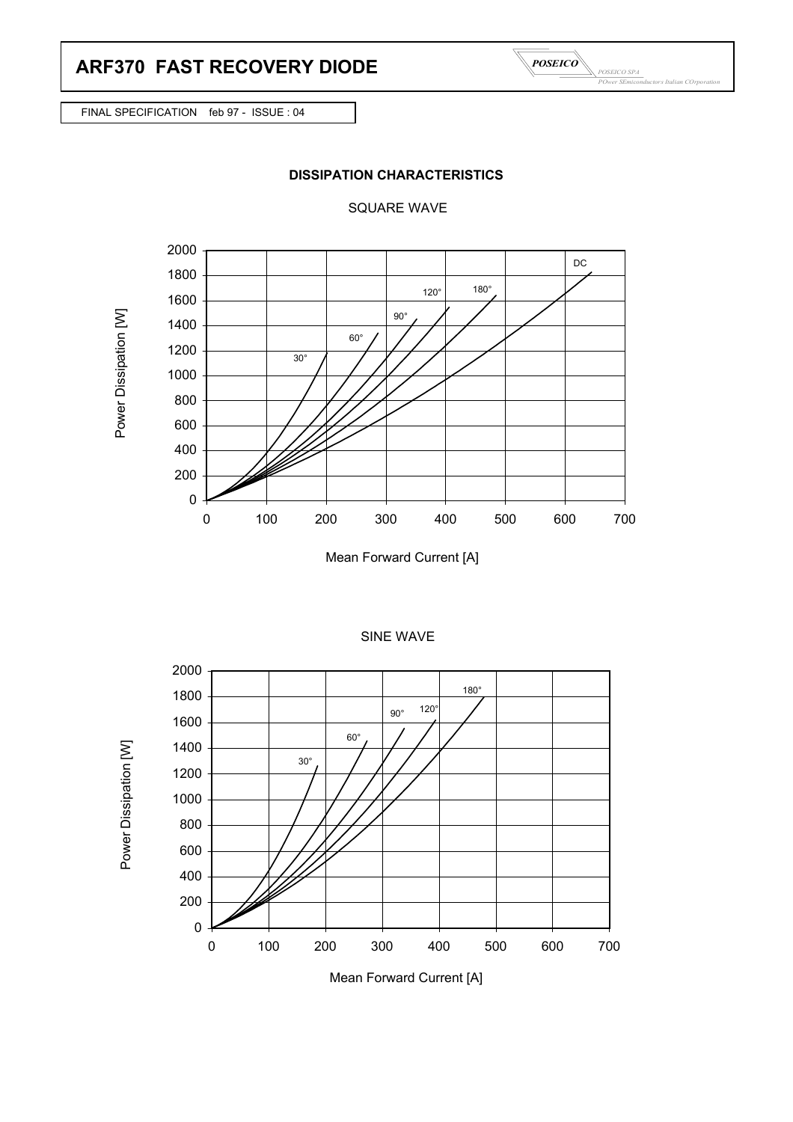

FINAL SPECIFICATION feb 97 - ISSUE : 04







Mean Forward Current [A]







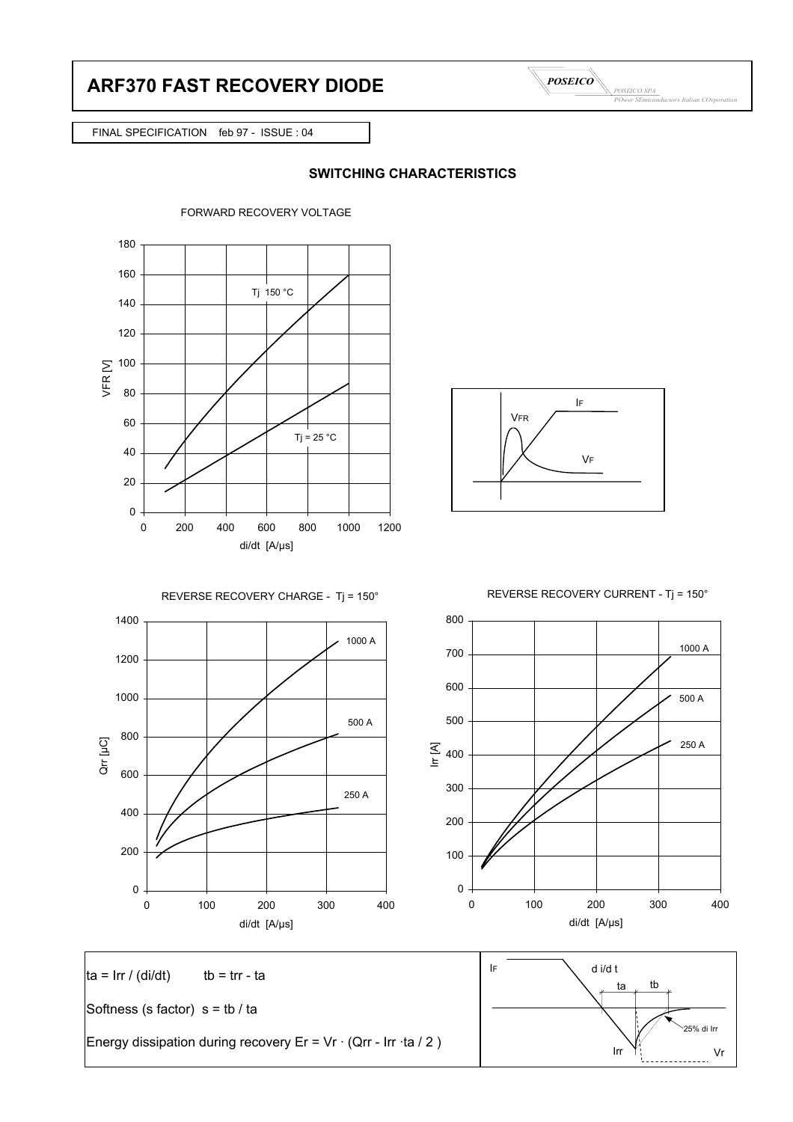## **ARF370 FAST RECOVERY DIODE**



FINAL SPECIFICATION feb 97 - ISSUE : 04

## **SWITCHING CHARACTERISTICS**





REVERSE RECOVERY CURRENT - Tj = 150°





 $\tan \theta$  ta = Irr / (di/dt) tb = trr - ta  $\tan \theta$  ta  $\tan \theta$ Softness (s factor)  $s = tb / ta$ Energy dissipation during recovery Er = Vr · (Qrr - Irr ·ta / 2 ) Irr Vi IF  $\bigcup$  d i/d t